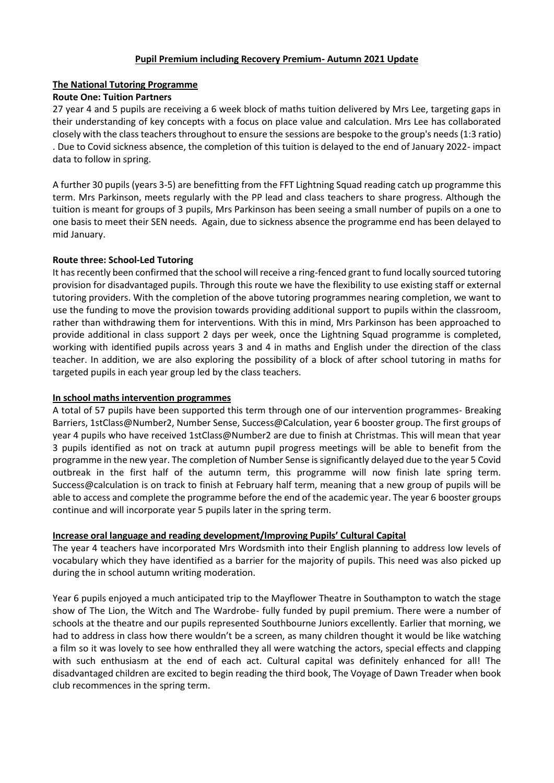## **Pupil Premium including Recovery Premium- Autumn 2021 Update**

## **The National Tutoring Programme**

## **Route One: Tuition Partners**

27 year 4 and 5 pupils are receiving a 6 week block of maths tuition delivered by Mrs Lee, targeting gaps in their understanding of key concepts with a focus on place value and calculation. Mrs Lee has collaborated closely with the class teachers throughout to ensure the sessions are bespoke to the group's needs (1:3 ratio) . Due to Covid sickness absence, the completion of this tuition is delayed to the end of January 2022- impact data to follow in spring.

A further 30 pupils (years 3-5) are benefitting from the FFT Lightning Squad reading catch up programme this term. Mrs Parkinson, meets regularly with the PP lead and class teachers to share progress. Although the tuition is meant for groups of 3 pupils, Mrs Parkinson has been seeing a small number of pupils on a one to one basis to meet their SEN needs. Again, due to sickness absence the programme end has been delayed to mid January.

## **Route three: School-Led Tutoring**

It has recently been confirmed that the school will receive a ring-fenced grant to fund locally sourced tutoring provision for disadvantaged pupils. Through this route we have the flexibility to use existing staff or external tutoring providers. With the completion of the above tutoring programmes nearing completion, we want to use the funding to move the provision towards providing additional support to pupils within the classroom, rather than withdrawing them for interventions. With this in mind, Mrs Parkinson has been approached to provide additional in class support 2 days per week, once the Lightning Squad programme is completed, working with identified pupils across years 3 and 4 in maths and English under the direction of the class teacher. In addition, we are also exploring the possibility of a block of after school tutoring in maths for targeted pupils in each year group led by the class teachers.

#### **In school maths intervention programmes**

A total of 57 pupils have been supported this term through one of our intervention programmes- Breaking Barriers, 1stClass@Number2, Number Sense, Success@Calculation, year 6 booster group. The first groups of year 4 pupils who have received 1stClass@Number2 are due to finish at Christmas. This will mean that year 3 pupils identified as not on track at autumn pupil progress meetings will be able to benefit from the programme in the new year. The completion of Number Sense is significantly delayed due to the year 5 Covid outbreak in the first half of the autumn term, this programme will now finish late spring term. Success@calculation is on track to finish at February half term, meaning that a new group of pupils will be able to access and complete the programme before the end of the academic year. The year 6 booster groups continue and will incorporate year 5 pupils later in the spring term.

# **Increase oral language and reading development/Improving Pupils' Cultural Capital**

The year 4 teachers have incorporated Mrs Wordsmith into their English planning to address low levels of vocabulary which they have identified as a barrier for the majority of pupils. This need was also picked up during the in school autumn writing moderation.

Year 6 pupils enjoyed a much anticipated trip to the Mayflower Theatre in Southampton to watch the stage show of The Lion, the Witch and The Wardrobe- fully funded by pupil premium. There were a number of schools at the theatre and our pupils represented Southbourne Juniors excellently. Earlier that morning, we had to address in class how there wouldn't be a screen, as many children thought it would be like watching a film so it was lovely to see how enthralled they all were watching the actors, special effects and clapping with such enthusiasm at the end of each act. Cultural capital was definitely enhanced for all! The disadvantaged children are excited to begin reading the third book, The Voyage of Dawn Treader when book club recommences in the spring term.